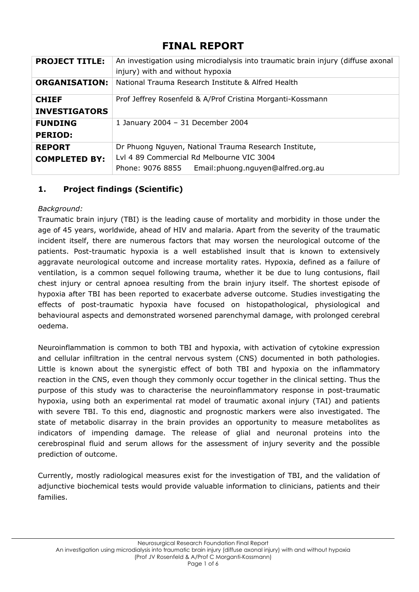# **FINAL REPORT**

| <b>PROJECT TITLE:</b> | An investigation using microdialysis into traumatic brain injury (diffuse axonal<br>injury) with and without hypoxia |
|-----------------------|----------------------------------------------------------------------------------------------------------------------|
| <b>ORGANISATION:</b>  | National Trauma Research Institute & Alfred Health                                                                   |
| <b>CHIEF</b>          | Prof Jeffrey Rosenfeld & A/Prof Cristina Morganti-Kossmann                                                           |
| <b>INVESTIGATORS</b>  |                                                                                                                      |
| <b>FUNDING</b>        | 1 January 2004 - 31 December 2004                                                                                    |
| <b>PERIOD:</b>        |                                                                                                                      |
| <b>REPORT</b>         | Dr Phuong Nguyen, National Trauma Research Institute,                                                                |
| <b>COMPLETED BY:</b>  | Lyl 4 89 Commercial Rd Melbourne VIC 3004                                                                            |
|                       | Phone: 9076 8855 Email: phuong.nguyen@alfred.org.au                                                                  |

## **1. Project findings (Scientific)**

## *Background:*

Traumatic brain injury (TBI) is the leading cause of mortality and morbidity in those under the age of 45 years, worldwide, ahead of HIV and malaria. Apart from the severity of the traumatic incident itself, there are numerous factors that may worsen the neurological outcome of the patients. Post-traumatic hypoxia is a well established insult that is known to extensively aggravate neurological outcome and increase mortality rates. Hypoxia, defined as a failure of ventilation, is a common sequel following trauma, whether it be due to lung contusions, flail chest injury or central apnoea resulting from the brain injury itself. The shortest episode of hypoxia after TBI has been reported to exacerbate adverse outcome. Studies investigating the effects of post-traumatic hypoxia have focused on histopathological, physiological and behavioural aspects and demonstrated worsened parenchymal damage, with prolonged cerebral oedema.

Neuroinflammation is common to both TBI and hypoxia, with activation of cytokine expression and cellular infiltration in the central nervous system (CNS) documented in both pathologies. Little is known about the synergistic effect of both TBI and hypoxia on the inflammatory reaction in the CNS, even though they commonly occur together in the clinical setting. Thus the purpose of this study was to characterise the neuroinflammatory response in post-traumatic hypoxia, using both an experimental rat model of traumatic axonal injury (TAI) and patients with severe TBI. To this end, diagnostic and prognostic markers were also investigated. The state of metabolic disarray in the brain provides an opportunity to measure metabolites as indicators of impending damage. The release of glial and neuronal proteins into the cerebrospinal fluid and serum allows for the assessment of injury severity and the possible prediction of outcome.

Currently, mostly radiological measures exist for the investigation of TBI, and the validation of adjunctive biochemical tests would provide valuable information to clinicians, patients and their families.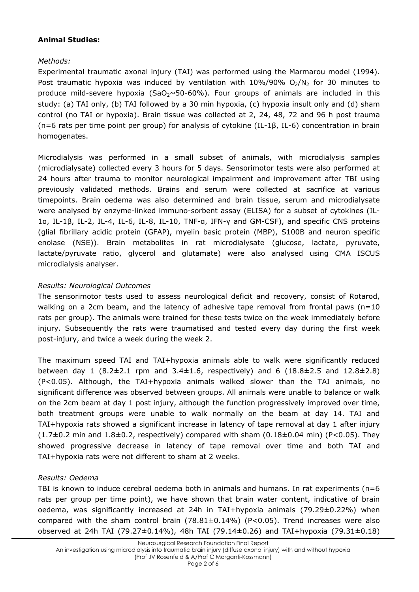#### **Animal Studies:**

## *Methods:*

Experimental traumatic axonal injury (TAI) was performed using the Marmarou model (1994). Post traumatic hypoxia was induced by ventilation with  $10\%/90\%$  O<sub>2</sub>/N<sub>2</sub> for 30 minutes to produce mild-severe hypoxia (SaO<sub>2</sub> $\sim$ 50-60%). Four groups of animals are included in this study: (a) TAI only, (b) TAI followed by a 30 min hypoxia, (c) hypoxia insult only and (d) sham control (no TAI or hypoxia). Brain tissue was collected at 2, 24, 48, 72 and 96 h post trauma (n=6 rats per time point per group) for analysis of cytokine (IL-1β, IL-6) concentration in brain homogenates.

Microdialysis was performed in a small subset of animals, with microdialysis samples (microdialysate) collected every 3 hours for 5 days. Sensorimotor tests were also performed at 24 hours after trauma to monitor neurological impairment and improvement after TBI using previously validated methods. Brains and serum were collected at sacrifice at various timepoints. Brain oedema was also determined and brain tissue, serum and microdialysate were analysed by enzyme-linked immuno-sorbent assay (ELISA) for a subset of cytokines (IL-1α, IL-1β, IL-2, IL-4, IL-6, IL-8, IL-10, TNF-α, IFN-γ and GM-CSF), and specific CNS proteins (glial fibrillary acidic protein (GFAP), myelin basic protein (MBP), S100B and neuron specific enolase (NSE)). Brain metabolites in rat microdialysate (glucose, lactate, pyruvate, lactate/pyruvate ratio, glycerol and glutamate) were also analysed using CMA ISCUS microdialysis analyser.

#### *Results: Neurological Outcomes*

The sensorimotor tests used to assess neurological deficit and recovery, consist of Rotarod, walking on a 2cm beam, and the latency of adhesive tape removal from frontal paws ( $n=10$ ) rats per group). The animals were trained for these tests twice on the week immediately before injury. Subsequently the rats were traumatised and tested every day during the first week post-injury, and twice a week during the week 2.

The maximum speed TAI and TAI+hypoxia animals able to walk were significantly reduced between day 1  $(8.2\pm2.1 \text{ rpm}$  and  $3.4\pm1.6$ , respectively) and 6  $(18.8\pm2.5 \text{ and } 12.8\pm2.8)$ (P<0.05). Although, the TAI+hypoxia animals walked slower than the TAI animals, no significant difference was observed between groups. All animals were unable to balance or walk on the 2cm beam at day 1 post injury, although the function progressively improved over time, both treatment groups were unable to walk normally on the beam at day 14. TAI and TAI+hypoxia rats showed a significant increase in latency of tape removal at day 1 after injury  $(1.7\pm0.2$  min and  $1.8\pm0.2$ , respectively) compared with sham  $(0.18\pm0.04$  min) (P<0.05). They showed progressive decrease in latency of tape removal over time and both TAI and TAI+hypoxia rats were not different to sham at 2 weeks.

#### *Results: Oedema*

TBI is known to induce cerebral oedema both in animals and humans. In rat experiments ( $n=6$ ) rats per group per time point), we have shown that brain water content, indicative of brain oedema, was significantly increased at 24h in TAI+hypoxia animals (79.29±0.22%) when compared with the sham control brain  $(78.81 \pm 0.14\%)$  (P<0.05). Trend increases were also observed at 24h TAI (79.27±0.14%), 48h TAI (79.14±0.26) and TAI+hypoxia (79.31±0.18)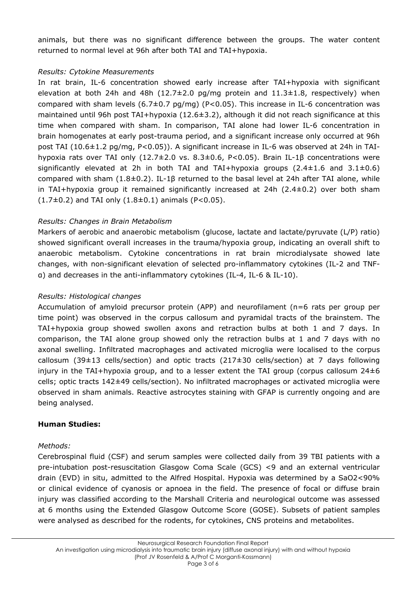animals, but there was no significant difference between the groups. The water content returned to normal level at 96h after both TAI and TAI+hypoxia.

#### *Results: Cytokine Measurements*

In rat brain, IL-6 concentration showed early increase after TAI+hypoxia with significant elevation at both 24h and 48h  $(12.7\pm2.0 \text{ pg/mg}$  protein and  $11.3\pm1.8$ , respectively) when compared with sham levels  $(6.7\pm0.7 \text{ pg/mg})$  (P<0.05). This increase in IL-6 concentration was maintained until 96h post TAI+hypoxia (12.6±3.2), although it did not reach significance at this time when compared with sham. In comparison, TAI alone had lower IL-6 concentration in brain homogenates at early post-trauma period, and a significant increase only occurred at 96h post TAI (10.6±1.2 pg/mg, P<0.05)). A significant increase in IL-6 was observed at 24h in TAIhypoxia rats over TAI only (12.7±2.0 vs. 8.3±0.6, P<0.05). Brain IL-1β concentrations were significantly elevated at 2h in both TAI and TAI+hypoxia groups  $(2.4 \pm 1.6 \text{ and } 3.1 \pm 0.6)$ compared with sham (1.8±0.2). IL-1β returned to the basal level at 24h after TAI alone, while in TAI+hypoxia group it remained significantly increased at 24h (2.4±0.2) over both sham  $(1.7\pm0.2)$  and TAI only  $(1.8\pm0.1)$  animals (P<0.05).

#### *Results: Changes in Brain Metabolism*

Markers of aerobic and anaerobic metabolism (glucose, lactate and lactate/pyruvate (L/P) ratio) showed significant overall increases in the trauma/hypoxia group, indicating an overall shift to anaerobic metabolism. Cytokine concentrations in rat brain microdialysate showed late changes, with non-significant elevation of selected pro-inflammatory cytokines (IL-2 and TNFα) and decreases in the anti-inflammatory cytokines (IL-4, IL-6 & IL-10).

#### *Results: Histological changes*

Accumulation of amyloid precursor protein (APP) and neurofilament (n=6 rats per group per time point) was observed in the corpus callosum and pyramidal tracts of the brainstem. The TAI+hypoxia group showed swollen axons and retraction bulbs at both 1 and 7 days. In comparison, the TAI alone group showed only the retraction bulbs at 1 and 7 days with no axonal swelling. Infiltrated macrophages and activated microglia were localised to the corpus callosum (39 $\pm$ 13 cells/section) and optic tracts (217 $\pm$ 30 cells/section) at 7 days following injury in the TAI+hypoxia group, and to a lesser extent the TAI group (corpus callosum  $24\pm6$ cells; optic tracts 142±49 cells/section). No infiltrated macrophages or activated microglia were observed in sham animals. Reactive astrocytes staining with GFAP is currently ongoing and are being analysed.

#### **Human Studies:**

#### *Methods:*

Cerebrospinal fluid (CSF) and serum samples were collected daily from 39 TBI patients with a pre-intubation post-resuscitation Glasgow Coma Scale (GCS) <9 and an external ventricular drain (EVD) in situ, admitted to the Alfred Hospital. Hypoxia was determined by a SaO2<90% or clinical evidence of cyanosis or apnoea in the field. The presence of focal or diffuse brain injury was classified according to the Marshall Criteria and neurological outcome was assessed at 6 months using the Extended Glasgow Outcome Score (GOSE). Subsets of patient samples were analysed as described for the rodents, for cytokines, CNS proteins and metabolites.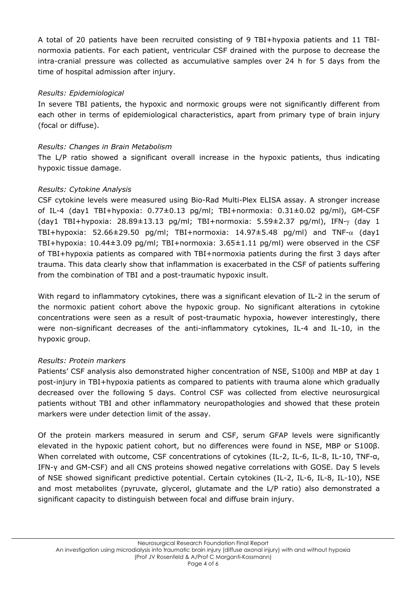A total of 20 patients have been recruited consisting of 9 TBI+hypoxia patients and 11 TBInormoxia patients. For each patient, ventricular CSF drained with the purpose to decrease the intra-cranial pressure was collected as accumulative samples over 24 h for 5 days from the time of hospital admission after injury.

#### *Results: Epidemiological*

In severe TBI patients, the hypoxic and normoxic groups were not significantly different from each other in terms of epidemiological characteristics, apart from primary type of brain injury (focal or diffuse).

#### *Results: Changes in Brain Metabolism*

The L/P ratio showed a significant overall increase in the hypoxic patients, thus indicating hypoxic tissue damage.

#### *Results: Cytokine Analysis*

CSF cytokine levels were measured using Bio-Rad Multi-Plex ELISA assay. A stronger increase of IL-4 (day1 TBI+hypoxia: 0.77±0.13 pg/ml; TBI+normoxia: 0.31±0.02 pg/ml), GM-CSF (day1 TBI+hypoxia: 28.89±13.13 pg/ml; TBI+normoxia: 5.59±2.37 pg/ml), IFN-γ (day 1 TBI+hypoxia: 52.66±29.50 pg/ml; TBI+normoxia: 14.97±5.48 pg/ml) and TNF- $\alpha$  (day1 TBI+hypoxia: 10.44±3.09 pg/ml; TBI+normoxia: 3.65±1.11 pg/ml) were observed in the CSF of TBI+hypoxia patients as compared with TBI+normoxia patients during the first 3 days after trauma. This data clearly show that inflammation is exacerbated in the CSF of patients suffering from the combination of TBI and a post-traumatic hypoxic insult.

With regard to inflammatory cytokines, there was a significant elevation of IL-2 in the serum of the normoxic patient cohort above the hypoxic group. No significant alterations in cytokine concentrations were seen as a result of post-traumatic hypoxia, however interestingly, there were non-significant decreases of the anti-inflammatory cytokines, IL-4 and IL-10, in the hypoxic group.

#### *Results: Protein markers*

Patients' CSF analysis also demonstrated higher concentration of NSE, S100β and MBP at day 1 post-injury in TBI+hypoxia patients as compared to patients with trauma alone which gradually decreased over the following 5 days. Control CSF was collected from elective neurosurgical patients without TBI and other inflammatory neuropathologies and showed that these protein markers were under detection limit of the assay.

Of the protein markers measured in serum and CSF, serum GFAP levels were significantly elevated in the hypoxic patient cohort, but no differences were found in NSE, MBP or S100β. When correlated with outcome, CSF concentrations of cytokines (IL-2, IL-6, IL-8, IL-10, TNF-α, IFN-γ and GM-CSF) and all CNS proteins showed negative correlations with GOSE. Day 5 levels of NSE showed significant predictive potential. Certain cytokines (IL-2, IL-6, IL-8, IL-10), NSE and most metabolites (pyruvate, glycerol, glutamate and the L/P ratio) also demonstrated a significant capacity to distinguish between focal and diffuse brain injury.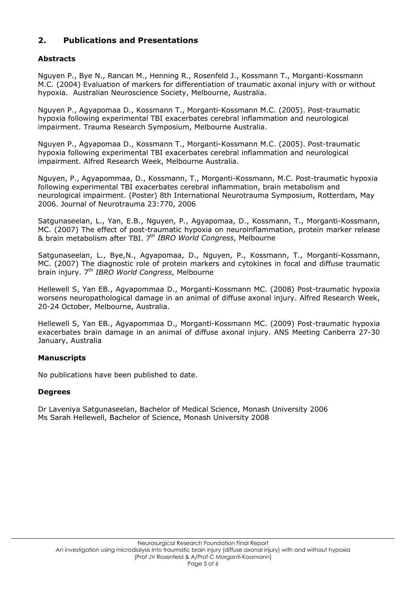## **2. Publications and Presentations**

#### **Abstracts**

Nguyen P., Bye N., Rancan M., Henning R., Rosenfeld J., Kossmann T., Morganti-Kossmann M.C. (2004) Evaluation of markers for differentiation of traumatic axonal injury with or without hypoxia. Australian Neuroscience Society, Melbourne, Australia.

Nguyen P., Agyapomaa D., Kossmann T., Morganti-Kossmann M.C. (2005). Post-traumatic hypoxia following experimental TBI exacerbates cerebral inflammation and neurological impairment. Trauma Research Symposium, Melbourne Australia.

Nguyen P., Agyapomaa D., Kossmann T., Morganti-Kossmann M.C. (2005). Post-traumatic hypoxia following experimental TBI exacerbates cerebral inflammation and neurological impairment. Alfred Research Week, Melbourne Australia.

Nguyen, P., Agyapommaa, D., Kossmann, T., Morganti-Kossmann, M.C. Post-traumatic hypoxia following experimental TBI exacerbates cerebral inflammation, brain metabolism and neurological impairment. (Poster) 8th International Neurotrauma Symposium, Rotterdam, May 2006. Journal of Neurotrauma 23:770, 2006

Satgunaseelan, L., Yan, E.B., Nguyen, P., Agyapomaa, D., Kossmann, T., Morganti-Kossmann, MC. (2007) The effect of post-traumatic hypoxia on neuroinflammation, protein marker release & brain metabolism after TBI. 7th *IBRO World Congress*, Melbourne

Satgunaseelan, L., Bye,N., Agyapomaa, D., Nguyen, P., Kossmann, T., Morganti-Kossmann, MC. (2007) The diagnostic role of protein markers and cytokines in focal and diffuse traumatic brain injury. 7th *IBRO World Congress*, Melbourne

Hellewell S, Yan EB., Agyapommaa D., Morganti-Kossmann MC. (2008) Post-traumatic hypoxia worsens neuropathological damage in an animal of diffuse axonal injury. Alfred Research Week, 20-24 October, Melbourne, Australia.

Hellewell S, Yan EB., Agyapommaa D., Morganti-Kossmann MC. (2009) Post-traumatic hypoxia exacerbates brain damage in an animal of diffuse axonal injury. ANS Meeting Canberra 27-30 January, Australia

#### **Manuscripts**

No publications have been published to date.

#### **Degrees**

Dr Laveniya Satgunaseelan, Bachelor of Medical Science, Monash University 2006 Ms Sarah Hellewell, Bachelor of Science, Monash University 2008